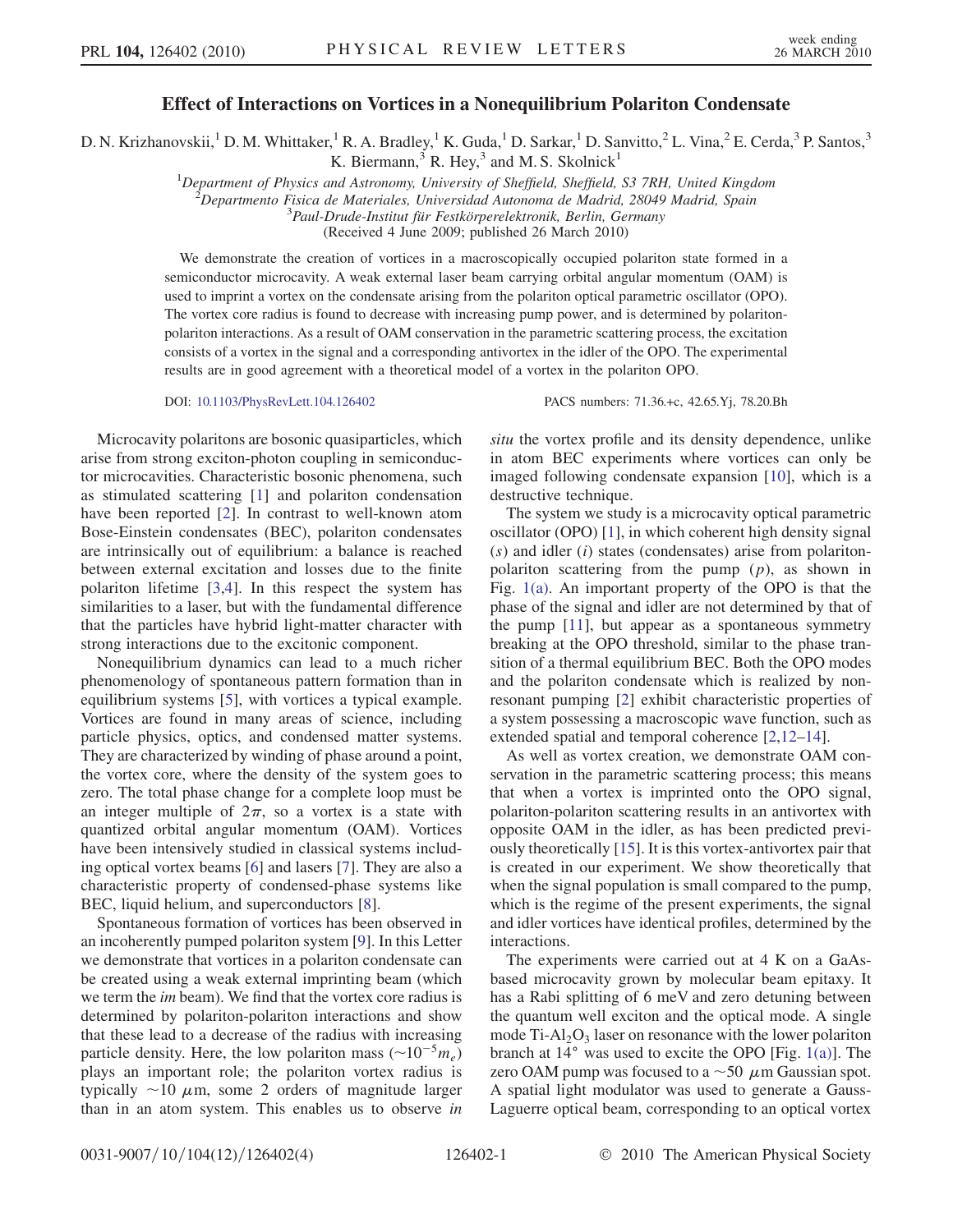## Effect of Interactions on Vortices in a Nonequilibrium Polariton Condensate

D. N. Krizhanovskii,<sup>1</sup> D. M. Whittaker,<sup>1</sup> R. A. Bradley,<sup>1</sup> K. Guda,<sup>1</sup> D. Sarkar,<sup>1</sup> D. Sanvitto,<sup>2</sup> L. Vina,<sup>2</sup> E. Cerda,<sup>3</sup> P. Santos,<sup>3</sup>

K. Biermann,  $3$  R. Hey,  $3$  and M. S. Skolnick<sup>1</sup>

<sup>1</sup>Department of Physics and Astronomy, University of Sheffield, Sheffield, S3 7RH, United Kingdom <sup>2</sup>Departments Fisica de Materiales, Universidad Autonoma de Madrid 28040 Madrid, Spain

 $^{2}$ Departmento Fisica de Materiales, Universidad Autonoma de Madrid, 28049 Madrid, Spain

 $3$ Paul-Drude-Institut für Festkörperelektronik, Berlin, Germany

(Received 4 June 2009; published 26 March 2010)

We demonstrate the creation of vortices in a macroscopically occupied polariton state formed in a semiconductor microcavity. A weak external laser beam carrying orbital angular momentum (OAM) is used to imprint a vortex on the condensate arising from the polariton optical parametric oscillator (OPO). The vortex core radius is found to decrease with increasing pump power, and is determined by polaritonpolariton interactions. As a result of OAM conservation in the parametric scattering process, the excitation consists of a vortex in the signal and a corresponding antivortex in the idler of the OPO. The experimental results are in good agreement with a theoretical model of a vortex in the polariton OPO.

DOI: [10.1103/PhysRevLett.104.126402](http://dx.doi.org/10.1103/PhysRevLett.104.126402) PACS numbers: 71.36.+c, 42.65.Yj, 78.20.Bh

Microcavity polaritons are bosonic quasiparticles, which arise from strong exciton-photon coupling in semiconductor microcavities. Characteristic bosonic phenomena, such as stimulated scattering [\[1\]](#page-3-0) and polariton condensation have been reported [\[2](#page-3-1)]. In contrast to well-known atom Bose-Einstein condensates (BEC), polariton condensates are intrinsically out of equilibrium: a balance is reached between external excitation and losses due to the finite polariton lifetime [[3,](#page-3-2)[4\]](#page-3-3). In this respect the system has similarities to a laser, but with the fundamental difference that the particles have hybrid light-matter character with strong interactions due to the excitonic component.

Nonequilibrium dynamics can lead to a much richer phenomenology of spontaneous pattern formation than in equilibrium systems [[5\]](#page-3-4), with vortices a typical example. Vortices are found in many areas of science, including particle physics, optics, and condensed matter systems. They are characterized by winding of phase around a point, the vortex core, where the density of the system goes to zero. The total phase change for a complete loop must be an integer multiple of  $2\pi$ , so a vortex is a state with quantized orbital angular momentum (OAM). Vortices have been intensively studied in classical systems including optical vortex beams [[6](#page-3-5)] and lasers [[7\]](#page-3-6). They are also a characteristic property of condensed-phase systems like BEC, liquid helium, and superconductors [[8\]](#page-3-7).

Spontaneous formation of vortices has been observed in an incoherently pumped polariton system [[9](#page-3-8)]. In this Letter we demonstrate that vortices in a polariton condensate can be created using a weak external imprinting beam (which we term the *im* beam). We find that the vortex core radius is determined by polariton-polariton interactions and show that these lead to a decrease of the radius with increasing particle density. Here, the low polariton mass  $(\sim 10^{-5} m_e)$ <br>plays an important role: the polariton vortex radius is plays an important role; the polariton vortex radius is typically  $\sim$ 10  $\mu$ m, some 2 orders of magnitude larger<br>than in an atom system. This enables us to observe *in* than in an atom system. This enables us to observe in situ the vortex profile and its density dependence, unlike in atom BEC experiments where vortices can only be imaged following condensate expansion [\[10\]](#page-3-9), which is a destructive technique.

The system we study is a microcavity optical parametric oscillator (OPO) [\[1](#page-3-0)], in which coherent high density signal  $(s)$  and idler  $(i)$  states (condensates) arise from polaritonpolariton scattering from the pump  $(p)$ , as shown in Fig. [1\(a\).](#page-1-0) An important property of the OPO is that the phase of the signal and idler are not determined by that of the pump [\[11\]](#page-3-10), but appear as a spontaneous symmetry breaking at the OPO threshold, similar to the phase transition of a thermal equilibrium BEC. Both the OPO modes and the polariton condensate which is realized by nonresonant pumping [\[2\]](#page-3-1) exhibit characteristic properties of a system possessing a macroscopic wave function, such as extended spatial and temporal coherence [[2](#page-3-1),[12](#page-3-11)[–14\]](#page-3-12).

As well as vortex creation, we demonstrate OAM conservation in the parametric scattering process; this means that when a vortex is imprinted onto the OPO signal, polariton-polariton scattering results in an antivortex with opposite OAM in the idler, as has been predicted previously theoretically [[15](#page-3-13)]. It is this vortex-antivortex pair that is created in our experiment. We show theoretically that when the signal population is small compared to the pump, which is the regime of the present experiments, the signal and idler vortices have identical profiles, determined by the interactions.

The experiments were carried out at 4 K on a GaAsbased microcavity grown by molecular beam epitaxy. It has a Rabi splitting of 6 meV and zero detuning between the quantum well exciton and the optical mode. A single mode  $Ti-Al<sub>2</sub>O<sub>3</sub>$  laser on resonance with the lower polariton branch at  $14^{\circ}$  was used to excite the OPO [Fig. [1\(a\)\]](#page-1-0). The zero OAM pump was focused to a  $\sim$  50  $\mu$ m Gaussian spot.<br>A spatial light modulator was used to generate a Gauss-A spatial light modulator was used to generate a Gauss-Laguerre optical beam, corresponding to an optical vortex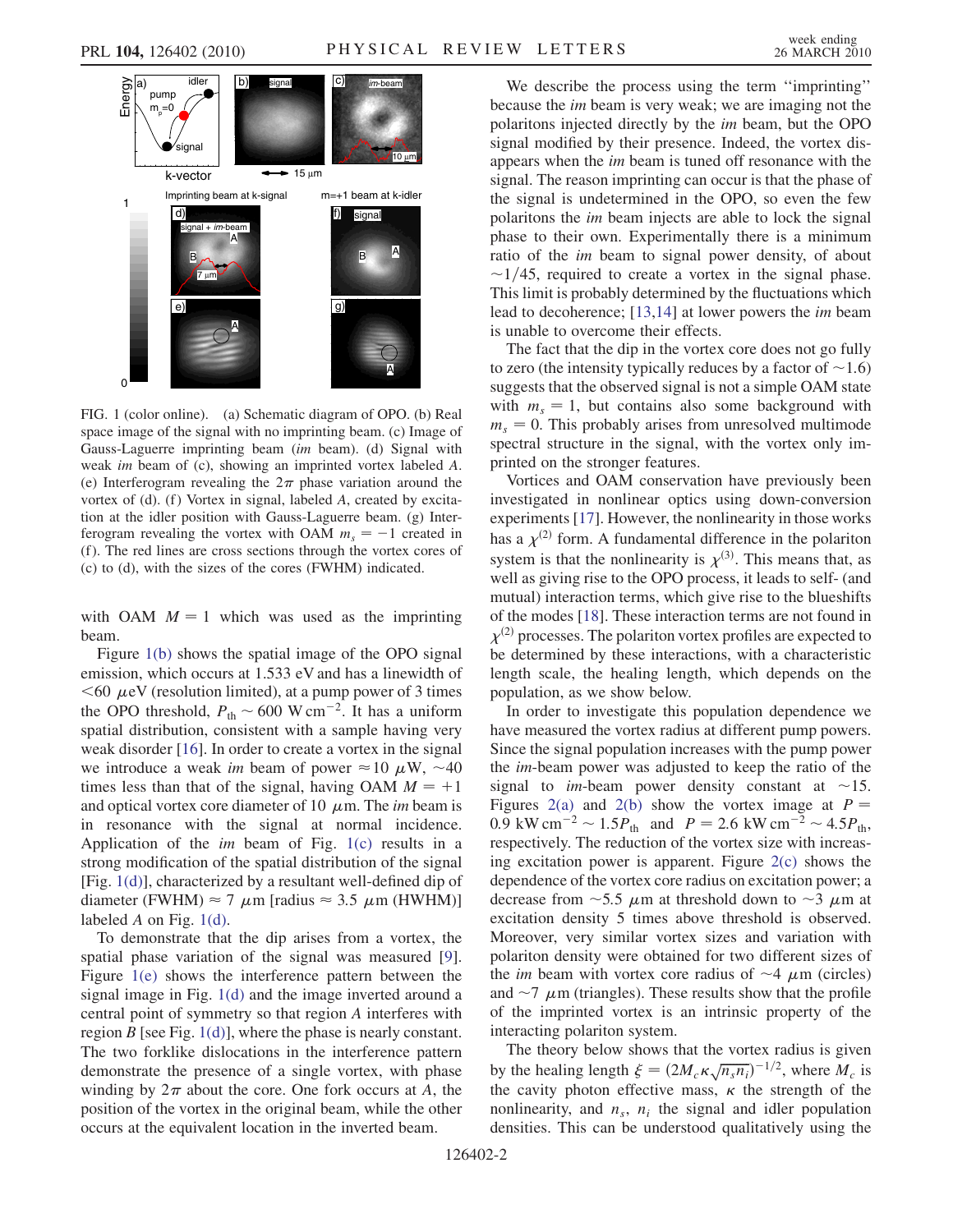

<span id="page-1-0"></span>FIG. 1 (color online). (a) Schematic diagram of OPO. (b) Real space image of the signal with no imprinting beam. (c) Image of Gauss-Laguerre imprinting beam (im beam). (d) Signal with weak im beam of (c), showing an imprinted vortex labeled A. (e) Interferogram revealing the  $2\pi$  phase variation around the vortex of  $(d)$ . (f) Vortex in signal, labeled A, created by excitation at the idler position with Gauss-Laguerre beam. (g) Interferogram revealing the vortex with OAM  $m<sub>s</sub> = -1$  created in<br>(f) The red lines are cross sections through the vortex cores of (f ). The red lines are cross sections through the vortex cores of (c) to (d), with the sizes of the cores (FWHM) indicated.

with OAM  $M = 1$  which was used as the imprinting beam.

Figure [1\(b\)](#page-1-0) shows the spatial image of the OPO signal emission, which occurs at 1.533 eV and has a linewidth of  $\leq$  60  $\mu$ eV (resolution limited), at a pump power of 3 times<br>the OPO threshold  $P_2 \approx 600 \text{ W cm}^{-2}$ . It has a uniform the OPO threshold,  $P_{\text{th}} \sim 600 \text{ W cm}^{-2}$ . It has a uniform<br>spatial distribution, consistent with a sample having very spatial distribution, consistent with a sample having very weak disorder [[16](#page-3-14)]. In order to create a vortex in the signal we introduce a weak *im* beam of power  $\approx 10 \mu$ W,  $\sim 40$ <br>times less than that of the signal having OAM  $M = +1$ times less than that of the signal, having OAM  $M = +1$ and optical vortex core diameter of 10  $\mu$ m. The *im* beam is<br>in resonance with the signal at normal incidence in resonance with the signal at normal incidence. Application of the *im* beam of Fig.  $1(c)$  results in a strong modification of the spatial distribution of the signal [Fig. [1\(d\)\]](#page-1-0), characterized by a resultant well-defined dip of diameter (FWHM)  $\approx$  7  $\mu$ m [radius  $\approx$  3.5  $\mu$ m (HWHM)]<br>labeled 4 on Fig. 1(d) labeled  $A$  on Fig. [1\(d\).](#page-1-0)

To demonstrate that the dip arises from a vortex, the spatial phase variation of the signal was measured [[9\]](#page-3-8). Figure [1\(e\)](#page-1-0) shows the interference pattern between the signal image in Fig. [1\(d\)](#page-1-0) and the image inverted around a central point of symmetry so that region A interferes with region  $B$  [see Fig. [1\(d\)\]](#page-1-0), where the phase is nearly constant. The two forklike dislocations in the interference pattern demonstrate the presence of a single vortex, with phase winding by  $2\pi$  about the core. One fork occurs at A, the position of the vortex in the original beam, while the other occurs at the equivalent location in the inverted beam.

We describe the process using the term ''imprinting'' because the im beam is very weak; we are imaging not the polaritons injected directly by the im beam, but the OPO signal modified by their presence. Indeed, the vortex disappears when the im beam is tuned off resonance with the signal. The reason imprinting can occur is that the phase of the signal is undetermined in the OPO, so even the few polaritons the im beam injects are able to lock the signal phase to their own. Experimentally there is a minimum ratio of the im beam to signal power density, of about  $\sim$ 1/45, required to create a vortex in the signal phase. This limit is probably determined by the fluctuations which lead to decoherence; [\[13](#page-3-15)[,14\]](#page-3-12) at lower powers the im beam is unable to overcome their effects.

The fact that the dip in the vortex core does not go fully to zero (the intensity typically reduces by a factor of  $\sim$  1.6) suggests that the observed signal is not a simple OAM state with  $m_s = 1$ , but contains also some background with  $m<sub>s</sub> = 0$ . This probably arises from unresolved multimode spectral structure in the signal, with the vortex only imprinted on the stronger features.

Vortices and OAM conservation have previously been investigated in nonlinear optics using down-conversion experiments [[17](#page-3-16)]. However, the nonlinearity in those works has a  $\chi^{(2)}$  form. A fundamental difference in the polariton system is that the nonlinearity is  $\chi^{(3)}$ . This means that, as<br>well as giving rise to the OPO process it leads to self- (and well as giving rise to the OPO process, it leads to self- (and mutual) interaction terms, which give rise to the blueshifts of the modes [[18](#page-3-17)]. These interaction terms are not found in  $\chi^{(2)}$  processes. The polariton vortex profiles are expected to be determined by these interactions, with a characteristic length scale, the healing length, which depends on the population, as we show below.

In order to investigate this population dependence we have measured the vortex radius at different pump powers. Since the signal population increases with the pump power the im-beam power was adjusted to keep the ratio of the signal to *im*-beam power density constant at  $\sim$ 15. Figures [2\(a\)](#page-2-0) and [2\(b\)](#page-2-0) show the vortex image at  $P =$ 0.9 kW cm<sup>-2</sup> ~ 1.5 $P_{\text{th}}$  and  $P = 2.6$  kW cm<sup>-2</sup> ~ 4.5 $P_{\text{th}}$ ,<br>respectively. The reduction of the vortex size with increasrespectively. The reduction of the vortex size with increasing excitation power is apparent. Figure [2\(c\)](#page-2-0) shows the dependence of the vortex core radius on excitation power; a decrease from  $\sim$  5.5  $\mu$ m at threshold down to  $\sim$  3  $\mu$ m at excitation density 5 times above threshold is observed excitation density 5 times above threshold is observed. Moreover, very similar vortex sizes and variation with polariton density were obtained for two different sizes of the *im* beam with vortex core radius of  $\sim$ 4  $\mu$ m (circles)<br>and  $\sim$ 7  $\mu$ m (triangles). These results show that the profile and  $\sim$  7  $\mu$ m (triangles). These results show that the profile<br>of the imprinted vortex is an intrinsic property of the of the imprinted vortex is an intrinsic property of the interacting polariton system.

The theory below shows that the vortex radius is given by the healing length  $\xi = (2M_c \kappa \sqrt{n_s n_i})^{-1/2}$ , where  $M_c$  is<br>the cavity photon effective mass,  $\kappa$  the strength of the the cavity photon effective mass,  $\kappa$  the strength of the<br>nonlinearity and  $n - n$ , the signal and idler population nonlinearity, and  $n_s$ ,  $n_i$  the signal and idler population densities. This can be understood qualitatively using the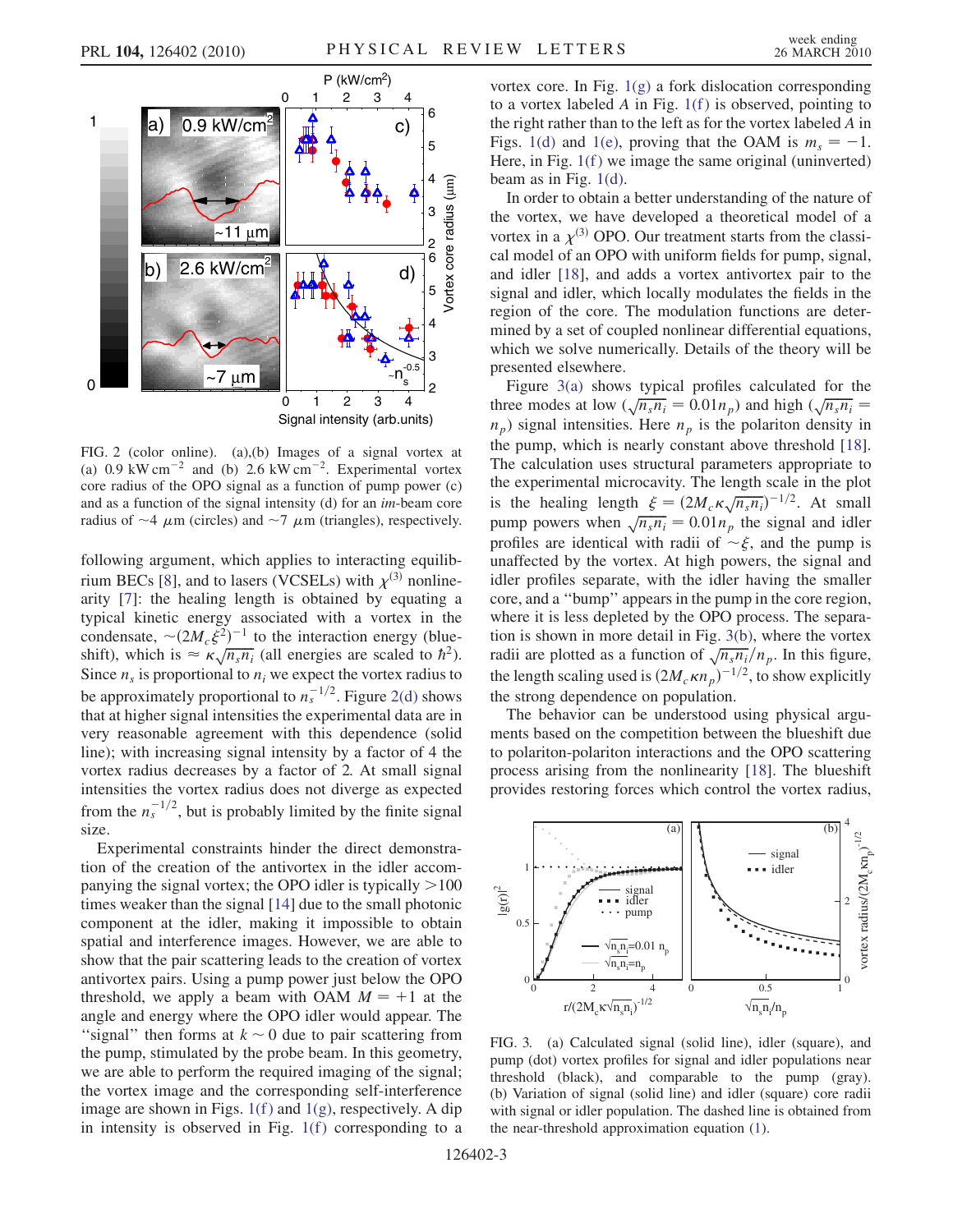

<span id="page-2-0"></span>FIG. 2 (color online). (a),(b) Images of a signal vortex at (a)  $0.9 \text{ kW cm}^{-2}$  and (b)  $2.6 \text{ kW cm}^{-2}$ . Experimental vortex<br>core radius of the OPO signal as a function of nump nower (c) core radius of the OPO signal as a function of pump power (c) and as a function of the signal intensity (d) for an im-beam core radius of  $\sim$ 4  $\mu$ m (circles) and  $\sim$ 7  $\mu$ m (triangles), respectively.

following argument, which applies to interacting equilib-rium BECs [\[8](#page-3-7)], and to lasers (VCSELs) with  $\chi^{(3)}$  nonlinearity [[7](#page-3-6)]: the healing length is obtained by equating a typical kinetic energy associated with a vortex in the condensate,  $\sim (2M_c \xi^2)^{-1}$  to the interaction energy (blue-<br>shift) which is  $\approx \kappa \sqrt{n n}$  (all energies are scaled to  $\hbar^2$ ) shift), which is  $\approx \frac{\sqrt{n_s n_i}}{n}$  (all energies are scaled to  $\hbar^2$ ). Since  $n_s$  is proportional to  $n_i$  we expect the vortex radius to  $\frac{1}{2}$ . Since  $n_s$  is proportional to  $n^{-1/2}$ . Figure 2(d) shows be approximately proportional to  $n_s^{-1/2}$ . Figure [2\(d\)](#page-2-0) shows<br>that at higher signal intensities the experimental data are in that at higher signal intensities the experimental data are in very reasonable agreement with this dependence (solid line); with increasing signal intensity by a factor of 4 the vortex radius decreases by a factor of 2. At small signal intensities the vortex radius does not diverge as expected from the  $n_s^{-1/2}$ , but is probably limited by the finite signal size size.

Experimental constraints hinder the direct demonstration of the creation of the antivortex in the idler accompanying the signal vortex; the OPO idler is typically  $>100$ times weaker than the signal [[14](#page-3-12)] due to the small photonic component at the idler, making it impossible to obtain spatial and interference images. However, we are able to show that the pair scattering leads to the creation of vortex antivortex pairs. Using a pump power just below the OPO threshold, we apply a beam with OAM  $M = +1$  at the angle and energy where the OPO idler would appear. The "signal" then forms at  $k \sim 0$  due to pair scattering from the pump, stimulated by the probe beam. In this geometry, we are able to perform the required imaging of the signal; the vortex image and the corresponding self-interference image are shown in Figs.  $1(f)$  and  $1(g)$ , respectively. A dip in intensity is observed in Fig.  $1(f)$  corresponding to a vortex core. In Fig. [1\(g\)](#page-1-0) a fork dislocation corresponding to a vortex labeled A in Fig.  $1(f)$  is observed, pointing to the right rather than to the left as for the vortex labeled A in Figs. [1\(d\)](#page-1-0) and [1\(e\),](#page-1-0) proving that the OAM is  $m_s = -1$ .<br>Here in Fig. 1(f) we image the same original (uninverted) Here, in Fig.  $1(f)$  we image the same original (uninverted) beam as in Fig.  $1(d)$ .

In order to obtain a better understanding of the nature of the vortex, we have developed a theoretical model of a vortex in a  $\chi^{(3)}$  OPO. Our treatment starts from the classical model of an OPO with uniform fields for pump, signal, and idler [\[18](#page-3-17)], and adds a vortex antivortex pair to the signal and idler, which locally modulates the fields in the region of the core. The modulation functions are determined by a set of coupled nonlinear differential equations, which we solve numerically. Details of the theory will be presented elsewhere.

Figure [3\(a\)](#page-2-1) shows typical profiles calculated for the three modes at low  $(\sqrt{n_s n_i} = 0.01 n_p)$  and high  $(\sqrt{n_s n_i} = n_s)$  signal intensities. Here *n* is the polariton density in  $n_p$ ) signal intensities. Here  $n_p$  is the polariton density in<br>the nump which is pearly constant above threshold [18] the pump, which is nearly constant above threshold [[18\]](#page-3-17). The calculation uses structural parameters appropriate to the experimental microcavity. The length scale in the plot is the healing length  $\xi = (2M_c \kappa \sqrt{n_s n_i})^{-1/2}$ . At small<br>pump powers when  $\sqrt{n_n n_i} = 0.01n$ , the signal and idlet pump powers when  $\sqrt{n_s n_i} = 0.01 n_p$  the signal and idler<br>profiles are identical with radii of  $\approx \xi$  and the num is profiles are identical with radii of  $\sim \xi$ , and the pump is<br>unaffected by the vortex. At high nowers, the signal and unaffected by the vortex. At high powers, the signal and idler profiles separate, with the idler having the smaller core, and a ''bump'' appears in the pump in the core region, where it is less depleted by the OPO process. The separation is shown in more detail in Fig. [3\(b\),](#page-2-1) where the vortex radii are plotted as a function of  $\sqrt{n_s n_i}/n_p$ . In this figure, the length scaling used is  $(2M_c \kappa n_p)^{-1/2}$ , to show explicitly the strong dependence on population.

The behavior can be understood using physical arguments based on the competition between the blueshift due to polariton-polariton interactions and the OPO scattering process arising from the nonlinearity [\[18\]](#page-3-17). The blueshift provides restoring forces which control the vortex radius,



<span id="page-2-1"></span>FIG. 3. (a) Calculated signal (solid line), idler (square), and pump (dot) vortex profiles for signal and idler populations near threshold (black), and comparable to the pump (gray). (b) Variation of signal (solid line) and idler (square) core radii with signal or idler population. The dashed line is obtained from the near-threshold approximation equation ([1](#page-3-18)).